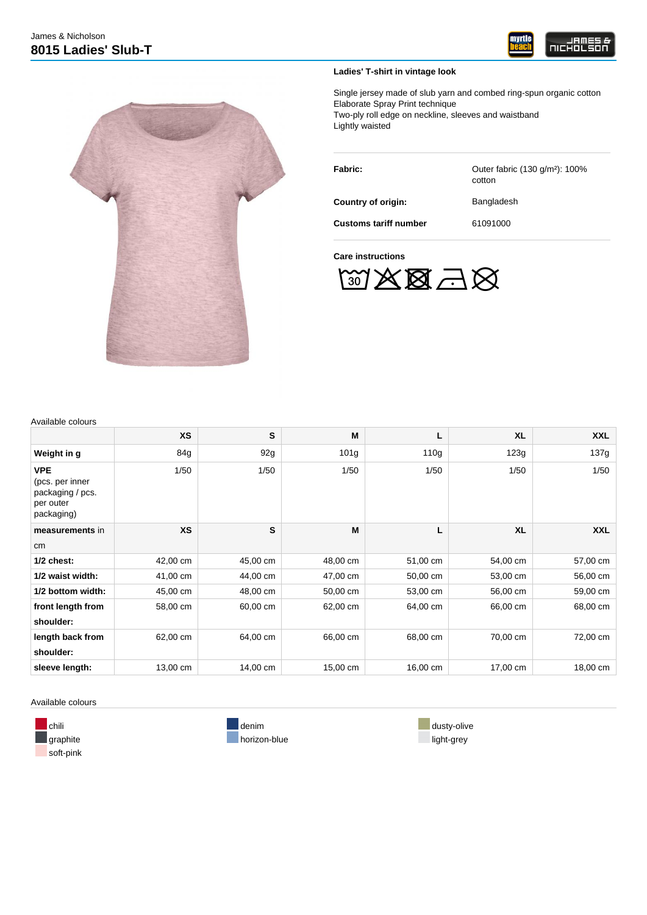



**Ladies' T-shirt in vintage look**

Single jersey made of slub yarn and combed ring-spun organic cotton Elaborate Spray Print technique Two-ply roll edge on neckline, sleeves and waistband Lightly waisted

| Fabric:                      | Outer fabric (130 g/m <sup>2</sup> ): 100%<br>cotton |  |  |  |
|------------------------------|------------------------------------------------------|--|--|--|
| Country of origin:           | Bangladesh                                           |  |  |  |
| <b>Customs tariff number</b> | 61091000                                             |  |  |  |

**Care instructions**



| Available colours |  |
|-------------------|--|
|-------------------|--|

|                                                                              | <b>XS</b> | S        | M                | Г                | <b>XL</b> | <b>XXL</b> |  |
|------------------------------------------------------------------------------|-----------|----------|------------------|------------------|-----------|------------|--|
| Weight in g                                                                  | 84g       | 92g      | 101 <sub>g</sub> | 110 <sub>g</sub> | 123g      | 137g       |  |
| <b>VPE</b><br>(pcs. per inner<br>packaging / pcs.<br>per outer<br>packaging) | 1/50      | 1/50     | 1/50             | 1/50             | 1/50      | 1/50       |  |
| measurements in                                                              | <b>XS</b> | S        | M                | L                | <b>XL</b> | <b>XXL</b> |  |
| cm <sub>2</sub>                                                              |           |          |                  |                  |           |            |  |
| $1/2$ chest:                                                                 | 42,00 cm  | 45,00 cm | 48,00 cm         | 51,00 cm         | 54,00 cm  | 57,00 cm   |  |
| 1/2 waist width:                                                             | 41,00 cm  | 44,00 cm | 47,00 cm         | 50,00 cm         | 53,00 cm  | 56,00 cm   |  |
| 1/2 bottom width:                                                            | 45,00 cm  | 48,00 cm | 50,00 cm         | 53,00 cm         | 56,00 cm  | 59,00 cm   |  |
| front length from                                                            | 58,00 cm  | 60,00 cm | 62,00 cm         | 64,00 cm         | 66,00 cm  | 68,00 cm   |  |
| shoulder:                                                                    |           |          |                  |                  |           |            |  |
| length back from<br>shoulder:                                                | 62,00 cm  | 64,00 cm | 66,00 cm         | 68,00 cm         | 70,00 cm  | 72,00 cm   |  |
| sleeve length:                                                               | 13,00 cm  | 14,00 cm | 15,00 cm         | 16,00 cm         | 17,00 cm  | 18,00 cm   |  |

Available colours

soft-pink